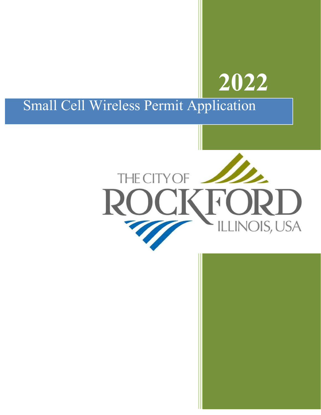# **2022**

## Small Cell Wireless Permit Application

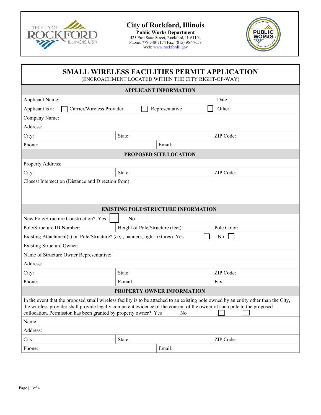

### **City of Rockford, Illinois**

**Public Works Department**  425 East State Street, Rockford, IL 61104 Phone: 779-348-7174 Fax: (815) 967-7058 Web: www.rockfordil.gov



#### **SMALL WIRELESS FACILITIES PERMIT APPLICATION**  (ENCROACHMENT LOCATED WITHIN THE CITY RIGHT-OF-WAY)

| <b>APPLICANT INFORMATION</b>                                                                                                                                                                                                                                                                                                             |                                  |                                            |             |  |  |  |
|------------------------------------------------------------------------------------------------------------------------------------------------------------------------------------------------------------------------------------------------------------------------------------------------------------------------------------------|----------------------------------|--------------------------------------------|-------------|--|--|--|
| Applicant Name:                                                                                                                                                                                                                                                                                                                          | Date:                            |                                            |             |  |  |  |
| Carrier/Wireless Provider<br>Applicant is a:                                                                                                                                                                                                                                                                                             |                                  | Representative                             | Other:      |  |  |  |
| Company Name:                                                                                                                                                                                                                                                                                                                            |                                  |                                            |             |  |  |  |
| Address:                                                                                                                                                                                                                                                                                                                                 |                                  |                                            |             |  |  |  |
| City:                                                                                                                                                                                                                                                                                                                                    | State:                           |                                            | ZIP Code:   |  |  |  |
| Phone:<br>Email:                                                                                                                                                                                                                                                                                                                         |                                  |                                            |             |  |  |  |
|                                                                                                                                                                                                                                                                                                                                          |                                  | <b>PROPOSED SITE LOCATION</b>              |             |  |  |  |
| Property Address:                                                                                                                                                                                                                                                                                                                        |                                  |                                            |             |  |  |  |
| City:                                                                                                                                                                                                                                                                                                                                    | State:                           |                                            | ZIP Code:   |  |  |  |
| Closest Intersection (Distance and Direction from):                                                                                                                                                                                                                                                                                      |                                  |                                            |             |  |  |  |
|                                                                                                                                                                                                                                                                                                                                          |                                  |                                            |             |  |  |  |
|                                                                                                                                                                                                                                                                                                                                          |                                  |                                            |             |  |  |  |
|                                                                                                                                                                                                                                                                                                                                          |                                  | <b>EXISTING POLE/STRUCTURE INFORMATION</b> |             |  |  |  |
| New Pole/Structure Construction? Yes                                                                                                                                                                                                                                                                                                     | No                               |                                            |             |  |  |  |
| Pole/Structure ID Number:                                                                                                                                                                                                                                                                                                                | Height of Pole/Structure (feet): |                                            | Pole Color: |  |  |  |
| Existing Attachment(s) on Pole/Structure? (e.g., banners, light fixtures) Yes                                                                                                                                                                                                                                                            |                                  |                                            | No          |  |  |  |
| <b>Existing Structure Owner:</b>                                                                                                                                                                                                                                                                                                         |                                  |                                            |             |  |  |  |
| Name of Structure Owner Representative:                                                                                                                                                                                                                                                                                                  |                                  |                                            |             |  |  |  |
| Address:                                                                                                                                                                                                                                                                                                                                 |                                  |                                            |             |  |  |  |
| City:                                                                                                                                                                                                                                                                                                                                    | State:                           |                                            | ZIP Code:   |  |  |  |
| Phone:                                                                                                                                                                                                                                                                                                                                   | E-mail:                          |                                            | Fax:        |  |  |  |
| <b>PROPERTY OWNER INFORMATION</b>                                                                                                                                                                                                                                                                                                        |                                  |                                            |             |  |  |  |
| In the event that the proposed small wireless facility is to be attached to an existing pole owned by an entity other than the City,<br>the wireless provider shall provide legally competent evidence of the consent of the owner of such pole to the proposed<br>collocation. Permission has been granted by property owner? Yes<br>No |                                  |                                            |             |  |  |  |
| Name:                                                                                                                                                                                                                                                                                                                                    |                                  |                                            |             |  |  |  |
| Address:                                                                                                                                                                                                                                                                                                                                 |                                  |                                            |             |  |  |  |
| City:                                                                                                                                                                                                                                                                                                                                    | State:                           |                                            | ZIP Code:   |  |  |  |
| Phone:                                                                                                                                                                                                                                                                                                                                   |                                  | Email:                                     |             |  |  |  |
|                                                                                                                                                                                                                                                                                                                                          |                                  |                                            |             |  |  |  |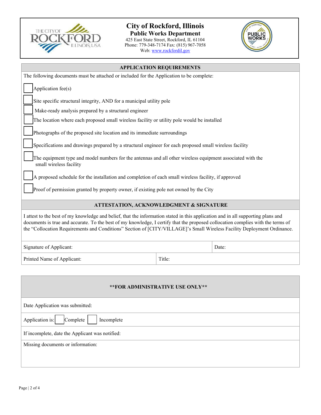

#### **City of Rockford, Illinois**

**Public Works Department**  425 East State Street, Rockford, IL 61104 Phone: 779-348-7174 Fax: (815) 967-7058 Web: www.rockfordil.gov



| <b>APPLICATION REQUIREMENTS</b>                                                                                                                                                                                                                                                                                                                                                                |        |       |  |  |
|------------------------------------------------------------------------------------------------------------------------------------------------------------------------------------------------------------------------------------------------------------------------------------------------------------------------------------------------------------------------------------------------|--------|-------|--|--|
| The following documents must be attached or included for the Application to be complete:                                                                                                                                                                                                                                                                                                       |        |       |  |  |
| Application fee(s)                                                                                                                                                                                                                                                                                                                                                                             |        |       |  |  |
| Site specific structural integrity, AND for a municipal utility pole                                                                                                                                                                                                                                                                                                                           |        |       |  |  |
| Make-ready analysis prepared by a structural engineer                                                                                                                                                                                                                                                                                                                                          |        |       |  |  |
| The location where each proposed small wireless facility or utility pole would be installed                                                                                                                                                                                                                                                                                                    |        |       |  |  |
| Photographs of the proposed site location and its immediate surroundings                                                                                                                                                                                                                                                                                                                       |        |       |  |  |
| Specifications and drawings prepared by a structural engineer for each proposed small wireless facility                                                                                                                                                                                                                                                                                        |        |       |  |  |
| The equipment type and model numbers for the antennas and all other wireless equipment associated with the<br>small wireless facility                                                                                                                                                                                                                                                          |        |       |  |  |
| A proposed schedule for the installation and completion of each small wireless facility, if approved                                                                                                                                                                                                                                                                                           |        |       |  |  |
| Proof of permission granted by property owner, if existing pole not owned by the City                                                                                                                                                                                                                                                                                                          |        |       |  |  |
| <b>ATTESTATION, ACKNOWLEDGMENT &amp; SIGNATURE</b>                                                                                                                                                                                                                                                                                                                                             |        |       |  |  |
| I attest to the best of my knowledge and belief, that the information stated in this application and in all supporting plans and<br>documents is true and accurate. To the best of my knowledge, I certify that the proposed collocation complies with the terms of<br>the "Collocation Requirements and Conditions" Section of [CITY/VILLAGE]'s Small Wireless Facility Deployment Ordinance. |        |       |  |  |
| Signature of Applicant:                                                                                                                                                                                                                                                                                                                                                                        |        | Date: |  |  |
| Printed Name of Applicant:                                                                                                                                                                                                                                                                                                                                                                     | Title: |       |  |  |

| ** FOR ADMINISTRATIVE USE ONLY**                |  |  |
|-------------------------------------------------|--|--|
| Date Application was submitted:                 |  |  |
| Application is:<br>Complete<br>Incomplete       |  |  |
| If incomplete, date the Applicant was notified: |  |  |
| Missing documents or information:               |  |  |
|                                                 |  |  |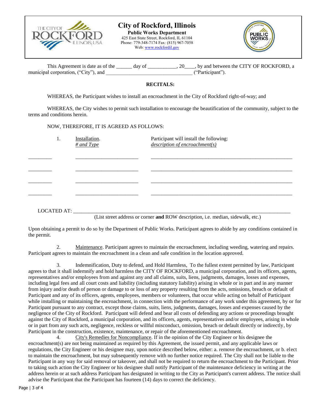

#### **City of Rockford, Illinois Public Works Department**

425 East State Street, Rockford, IL 61104 Phone: 779-348-7174 Fax: (815) 967-7058 Web: www.rockfordil.gov



| This Agreement is date as of the     | day of | . 20 , by and between the CITY OF ROCKFORD, a |
|--------------------------------------|--------|-----------------------------------------------|
| municipal corporation, ("City"), and |        | ("Participant")                               |

#### **RECITALS:**

WHEREAS, the Participant wishes to install an encroachment in the City of Rockford right-of-way; and

WHEREAS, the City wishes to permit such installation to encourage the beautification of the community, subject to the terms and conditions herein.

NOW, THEREFORE, IT IS AGREED AS FOLLOWS:

| 1.          | Installation.<br>$\#$ and Type | Participant will install the following:<br>description of encroachment(s) |
|-------------|--------------------------------|---------------------------------------------------------------------------|
|             |                                |                                                                           |
|             |                                |                                                                           |
|             |                                |                                                                           |
|             |                                |                                                                           |
|             |                                |                                                                           |
| LOCATED AT: |                                |                                                                           |

(List street address or corner **and** ROW description, i.e. median, sidewalk, etc.)

Upon obtaining a permit to do so by the Department of Public Works. Participant agrees to abide by any conditions contained in the permit.

2. Maintenance. Participant agrees to maintain the encroachment, including weeding, watering and repairs. Participant agrees to maintain the encroachment in a clean and safe condition in the location approved.

3. Indemnification, Duty to defend, and Hold Harmless, To the fullest extent permitted by law, Participant agrees to that it shall indemnify and hold harmless the CITY OF ROCKFORD, a municipal corporation, and its officers, agents, representatives and/or employees from and against any and all claims, suits, liens, judgments, damages, losses and expenses, including legal fees and all court costs and liability (including statutory liability) arising in whole or in part and in any manner from injury and/or death of person or damage to or loss of any property resulting from the acts, omissions, breach or default of Participant and any of its officers, agents, employees, members or volunteers, that occur while acting on behalf of Participant while installing or maintaining the encroachment, in connection with the performance of any work under this agreement, by or for Participant pursuant to any contract, except those claims, suits, liens, judgments, damages, losses and expenses caused by the negligence of the City of Rockford. Participant will defend and bear all costs of defending any actions or proceedings brought against the City of Rockford, a municipal corporation, and its officers, agents, representatives and/or employees, arising in whole or in part from any such acts, negligence, reckless or willful misconduct, omission, breach or default directly or indirectly, by Participant in the construction, existence, maintenance, or repair of the aforementioned encroachment.

4. City's Remedies for Noncompliance. If in the opinion of the City Engineer or his designee the encroachment(s) are not being maintained as required by this Agreement, the issued permit, and any applicable laws or regulations, the City Engineer or his designee may, upon notice described below, either: a. remove the encroachment, or b. elect to maintain the encroachment, but may subsequently remove with no further notice required. The City shall not be liable to the Participant in any way for said removal or takeover, and shall not be required to return the encroachment to the Participant. Prior to taking such action the City Engineer or his designee shall notify Participant of the maintenance deficiency in writing at the address herein or at such address Participant has designated in writing to the City as Participant's current address. The notice shall advise the Participant that the Participant has fourteen (14) days to correct the deficiency.